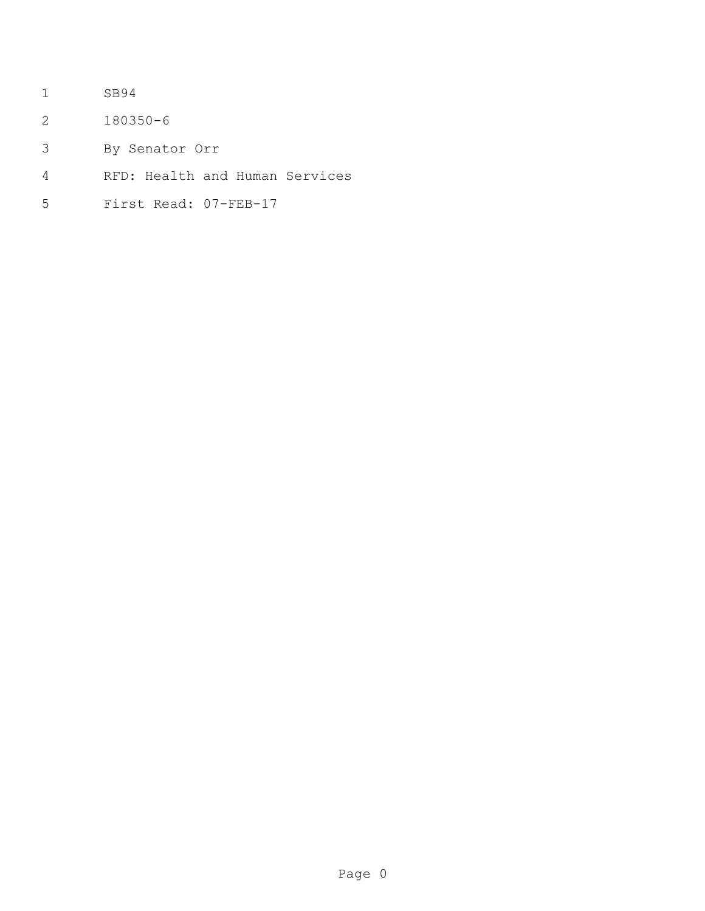- SB94
- 180350-6
- By Senator Orr
- RFD: Health and Human Services
- First Read: 07-FEB-17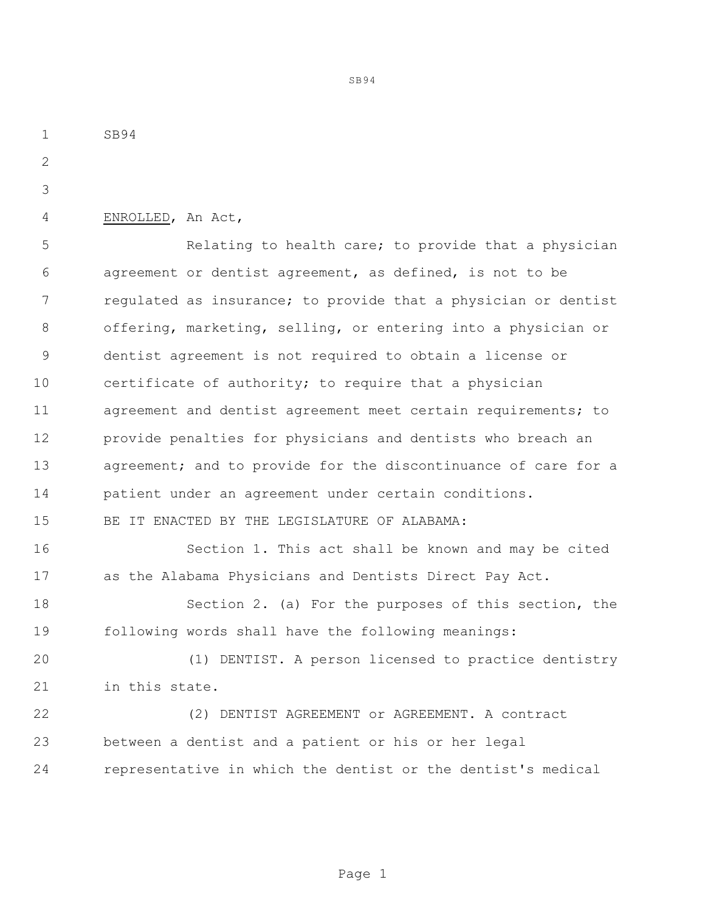SB94 ENROLLED, An Act, **Example 2** Relating to health care; to provide that a physician agreement or dentist agreement, as defined, is not to be regulated as insurance; to provide that a physician or dentist offering, marketing, selling, or entering into a physician or dentist agreement is not required to obtain a license or certificate of authority; to require that a physician agreement and dentist agreement meet certain requirements; to provide penalties for physicians and dentists who breach an 13 agreement; and to provide for the discontinuance of care for a patient under an agreement under certain conditions. BE IT ENACTED BY THE LEGISLATURE OF ALABAMA: Section 1. This act shall be known and may be cited as the Alabama Physicians and Dentists Direct Pay Act. Section 2. (a) For the purposes of this section, the following words shall have the following meanings: (1) DENTIST. A person licensed to practice dentistry in this state. (2) DENTIST AGREEMENT or AGREEMENT. A contract between a dentist and a patient or his or her legal representative in which the dentist or the dentist's medical

Page 1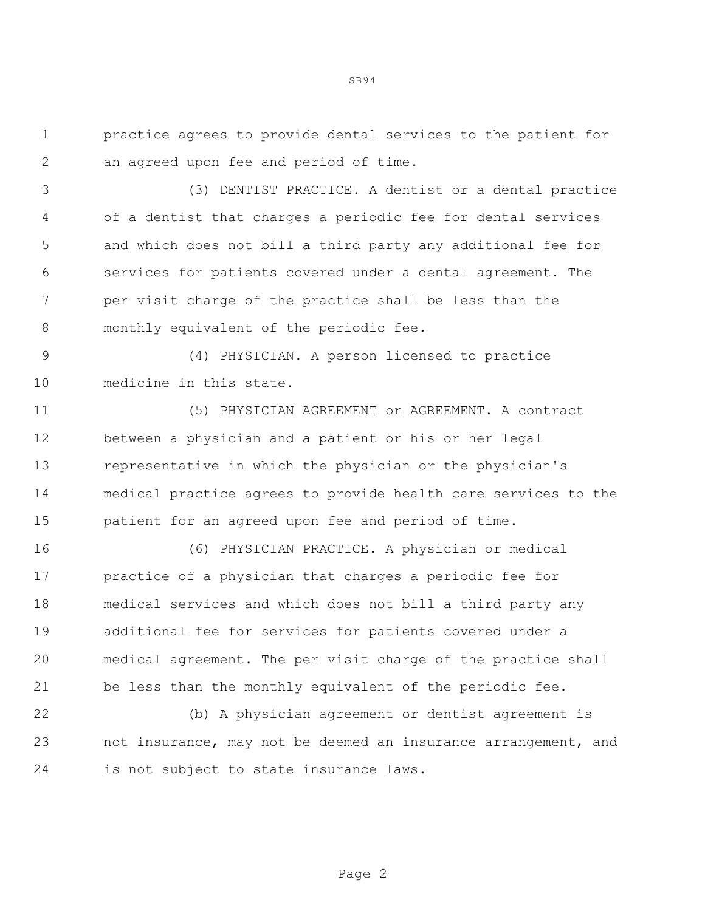practice agrees to provide dental services to the patient for an agreed upon fee and period of time.

 (3) DENTIST PRACTICE. A dentist or a dental practice of a dentist that charges a periodic fee for dental services and which does not bill a third party any additional fee for services for patients covered under a dental agreement. The per visit charge of the practice shall be less than the 8 monthly equivalent of the periodic fee.

 (4) PHYSICIAN. A person licensed to practice medicine in this state.

 (5) PHYSICIAN AGREEMENT or AGREEMENT. A contract between a physician and a patient or his or her legal representative in which the physician or the physician's medical practice agrees to provide health care services to the patient for an agreed upon fee and period of time.

 (6) PHYSICIAN PRACTICE. A physician or medical practice of a physician that charges a periodic fee for medical services and which does not bill a third party any additional fee for services for patients covered under a medical agreement. The per visit charge of the practice shall be less than the monthly equivalent of the periodic fee.

 (b) A physician agreement or dentist agreement is not insurance, may not be deemed an insurance arrangement, and is not subject to state insurance laws.

Page 2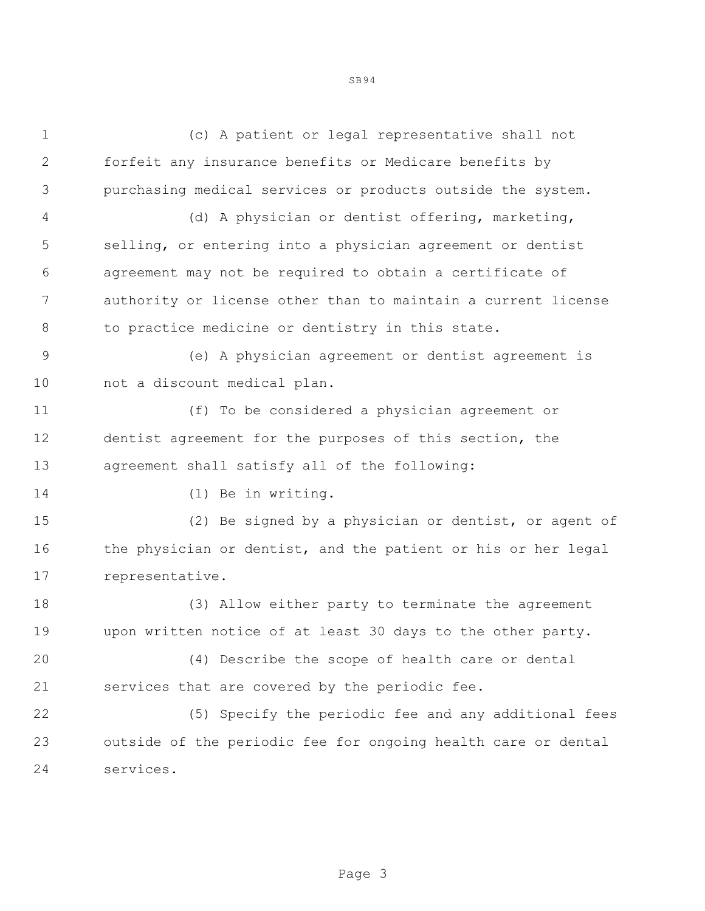(c) A patient or legal representative shall not forfeit any insurance benefits or Medicare benefits by purchasing medical services or products outside the system. (d) A physician or dentist offering, marketing, selling, or entering into a physician agreement or dentist agreement may not be required to obtain a certificate of authority or license other than to maintain a current license to practice medicine or dentistry in this state. (e) A physician agreement or dentist agreement is not a discount medical plan. (f) To be considered a physician agreement or dentist agreement for the purposes of this section, the agreement shall satisfy all of the following: (1) Be in writing. (2) Be signed by a physician or dentist, or agent of 16 the physician or dentist, and the patient or his or her legal representative. (3) Allow either party to terminate the agreement upon written notice of at least 30 days to the other party. (4) Describe the scope of health care or dental services that are covered by the periodic fee. (5) Specify the periodic fee and any additional fees outside of the periodic fee for ongoing health care or dental services.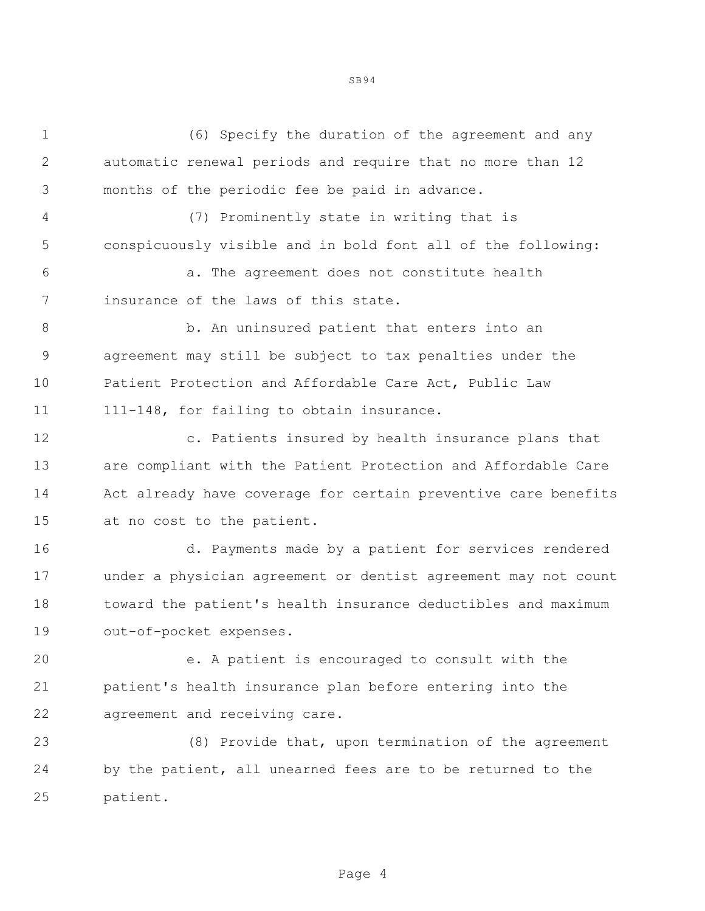(6) Specify the duration of the agreement and any automatic renewal periods and require that no more than 12 months of the periodic fee be paid in advance.

 (7) Prominently state in writing that is conspicuously visible and in bold font all of the following:

 a. The agreement does not constitute health insurance of the laws of this state.

 b. An uninsured patient that enters into an agreement may still be subject to tax penalties under the Patient Protection and Affordable Care Act, Public Law 11 111-148, for failing to obtain insurance.

 c. Patients insured by health insurance plans that are compliant with the Patient Protection and Affordable Care Act already have coverage for certain preventive care benefits at no cost to the patient.

 d. Payments made by a patient for services rendered under a physician agreement or dentist agreement may not count toward the patient's health insurance deductibles and maximum out-of-pocket expenses.

 e. A patient is encouraged to consult with the patient's health insurance plan before entering into the agreement and receiving care.

 (8) Provide that, upon termination of the agreement by the patient, all unearned fees are to be returned to the patient.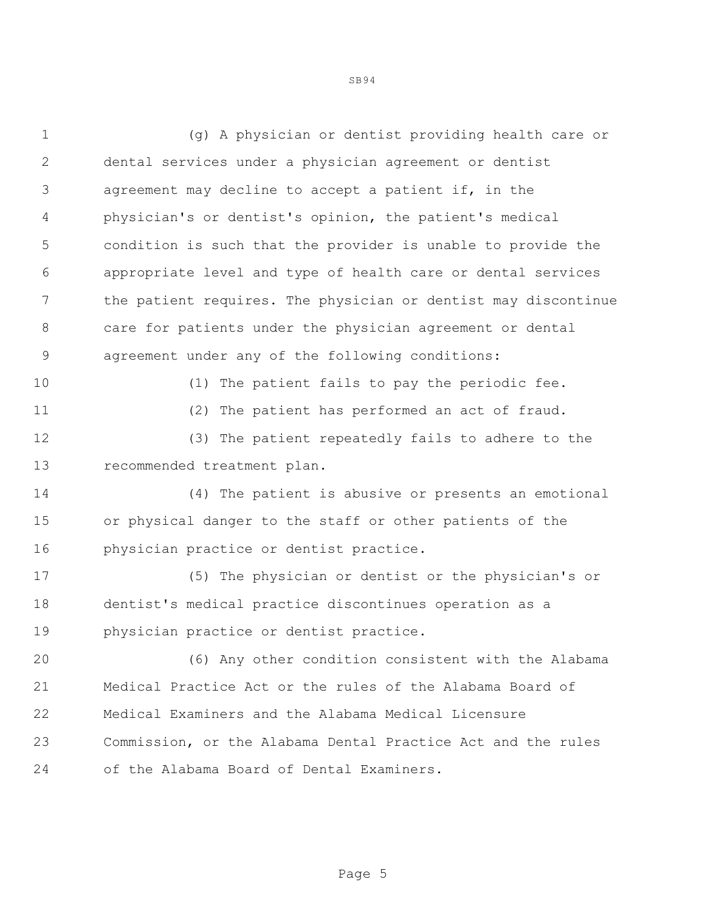(g) A physician or dentist providing health care or dental services under a physician agreement or dentist agreement may decline to accept a patient if, in the physician's or dentist's opinion, the patient's medical condition is such that the provider is unable to provide the appropriate level and type of health care or dental services the patient requires. The physician or dentist may discontinue care for patients under the physician agreement or dental agreement under any of the following conditions: (1) The patient fails to pay the periodic fee. (2) The patient has performed an act of fraud. (3) The patient repeatedly fails to adhere to the recommended treatment plan. (4) The patient is abusive or presents an emotional or physical danger to the staff or other patients of the physician practice or dentist practice. (5) The physician or dentist or the physician's or dentist's medical practice discontinues operation as a physician practice or dentist practice. (6) Any other condition consistent with the Alabama Medical Practice Act or the rules of the Alabama Board of Medical Examiners and the Alabama Medical Licensure Commission, or the Alabama Dental Practice Act and the rules of the Alabama Board of Dental Examiners.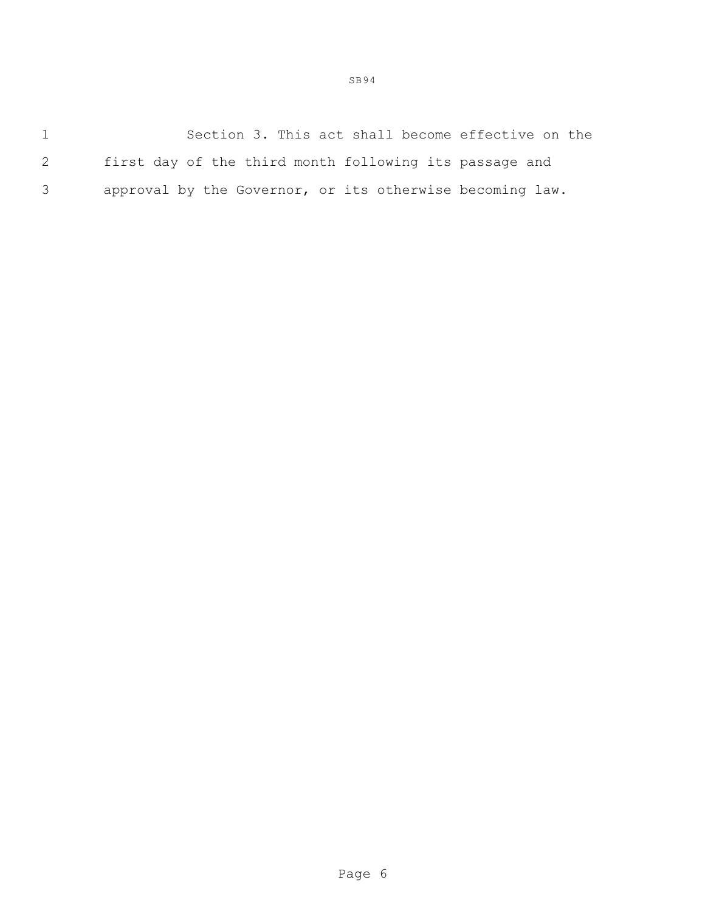1 Section 3. This act shall become effective on the 2 first day of the third month following its passage and 3 approval by the Governor, or its otherwise becoming law.